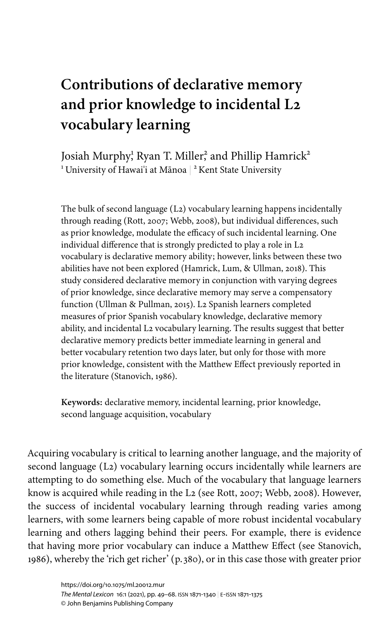# **Contributions of declarative memory and prior knowledge to incidental L2 vocabulary learning**

Josiah Murphy<sup>!</sup> Ryan T. Miller<sup>2</sup> and Phillip Hamrick<sup>2</sup>  $^{\rm ^{\rm 1}}$ University of Hawai'i at Mānoa  $\mid$   $^{\rm ^{\rm 2}}$  Kent State University

The bulk of second language (L2) vocabulary learning happens incidentally through reading ([Rott, 2007;](#page-18-0) [Webb, 2008\)](#page-19-0), but individual differences, such as prior knowledge, modulate the efficacy of such incidental learning. One individual difference that is strongly predicted to play a role in L2 vocabulary is declarative memory ability; however, links between these two abilities have not been explored [\(Hamrick, Lum, & Ullman, 2018\)](#page-17-0). This study considered declarative memory in conjunction with varying degrees of prior knowledge, since declarative memory may serve a compensatory function ([Ullman & Pullman, 2015\)](#page-18-1). L2 Spanish learners completed measures of prior Spanish vocabulary knowledge, declarative memory ability, and incidental L2 vocabulary learning. The results suggest that better declarative memory predicts better immediate learning in general and better vocabulary retention two days later, but only for those with more prior knowledge, consistent with the Matthew Effect previously reported in the literature ([Stanovich, 1986](#page-18-2)).

**Keywords:** declarative memory, incidental learning, prior knowledge, second language acquisition, vocabulary

Acquiring vocabulary is critical to learning another language, and the majority of second language (L2) vocabulary learning occurs incidentally while learners are attempting to do something else. Much of the vocabulary that language learners know is acquired while reading in the L2 (see [Rott, 2007;](#page-18-0) [Webb, 2008](#page-19-0)). However, the success of incidental vocabulary learning through reading varies among learners, with some learners being capable of more robust incidental vocabulary learning and others lagging behind their peers. For example, there is evidence that having more prior vocabulary can induce a Matthew Effect (see [Stanovich,](#page-18-2) [1986](#page-18-2)), whereby the 'rich get richer' (p. 380), or in this case those with greater prior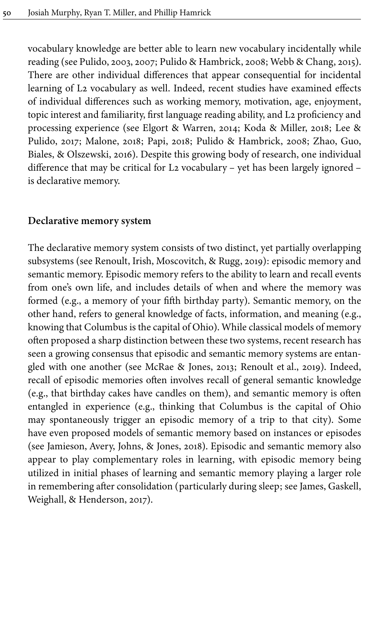vocabulary knowledge are better able to learn new vocabulary incidentally while reading (see [Pulido, 2003](#page-18-3), [2007;](#page-18-4) [Pulido & Hambrick, 2008;](#page-18-5) [Webb & Chang, 2015\)](#page-19-2). There are other individual differences that appear consequential for incidental learning of L2 vocabulary as well. Indeed, recent studies have examined effects of individual differences such as working memory, motivation, age, enjoyment, topic interest and familiarity, first language reading ability, and L2 proficiency and processing experience (see [Elgort & Warren, 2014](#page-17-1); [Koda & Miller, 2018;](#page-17-2) [Lee &](#page-17-3) [Pulido, 2017](#page-17-3); [Malone, 2018;](#page-17-4) [Papi, 2018;](#page-17-5) [Pulido & Hambrick, 2008;](#page-18-5) [Zhao, Guo,](#page-19-3) [Biales, & Olszewski, 2016\)](#page-19-3). Despite this growing body of research, one individual difference that may be critical for L2 vocabulary – yet has been largely ignored – is declarative memory.

#### **Declarative memory system**

The declarative memory system consists of two distinct, yet partially overlapping subsystems (see [Renoult, Irish, Moscovitch, & Rugg, 2019](#page-18-6)): episodic memory and semantic memory. Episodic memory refers to the ability to learn and recall events from one's own life, and includes details of when and where the memory was formed (e.g., a memory of your fifth birthday party). Semantic memory, on the other hand, refers to general knowledge of facts, information, and meaning (e.g., knowing that Columbus is the capital of Ohio). While classical models of memory often proposed a sharp distinction between these two systems, recent research has seen a growing consensus that episodic and semantic memory systems are entangled with one another (see [McRae & Jones, 2013;](#page-17-6) [Renoult et](#page-18-6) al., 2019). Indeed, recall of episodic memories often involves recall of general semantic knowledge (e.g., that birthday cakes have candles on them), and semantic memory is often entangled in experience (e.g., thinking that Columbus is the capital of Ohio may spontaneously trigger an episodic memory of a trip to that city). Some have even proposed models of semantic memory based on instances or episodes (see [Jamieson, Avery, Johns, & Jones, 2018](#page-17-7)). Episodic and semantic memory also appear to play complementary roles in learning, with episodic memory being utilized in initial phases of learning and semantic memory playing a larger role in remembering after consolidation (particularly during sleep; see [James, Gaskell,](#page-17-8) [Weighall, & Henderson, 2017](#page-17-8)).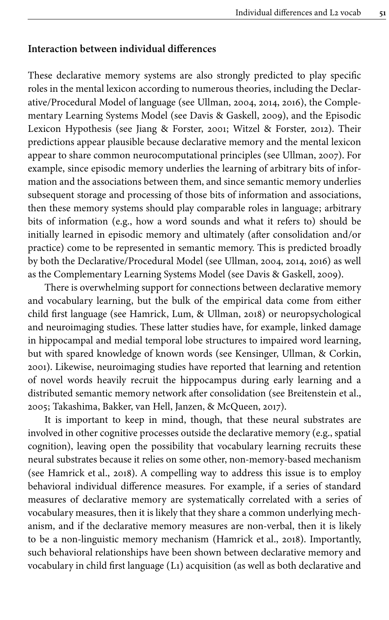#### **Interaction between individual differences**

These declarative memory systems are also strongly predicted to play specific roles in the mental lexicon according to numerous theories, including the Declarative/Procedural Model of language (see [Ullman, 2004](#page-18-7), [2014,](#page-18-8) [2016\)](#page-18-9), the Complementary Learning Systems Model (see [Davis & Gaskell, 2009](#page-17-9)), and the Episodic Lexicon Hypothesis (see [Jiang & Forster, 2001;](#page-17-10) [Witzel & Forster, 2012](#page-19-4)). Their predictions appear plausible because declarative memory and the mental lexicon appear to share common neurocomputational principles (see [Ullman, 2007](#page-18-10)). For example, since episodic memory underlies the learning of arbitrary bits of information and the associations between them, and since semantic memory underlies subsequent storage and processing of those bits of information and associations, then these memory systems should play comparable roles in language; arbitrary bits of information (e.g., how a word sounds and what it refers to) should be initially learned in episodic memory and ultimately (after consolidation and/or practice) come to be represented in semantic memory. This is predicted broadly by both the Declarative/Procedural Model (see [Ullman, 2004,](#page-18-7) [2014](#page-18-8), [2016](#page-18-9)) as well as the Complementary Learning Systems Model (see [Davis & Gaskell, 2009\)](#page-17-9).

There is overwhelming support for connections between declarative memory and vocabulary learning, but the bulk of the empirical data come from either child first language (see [Hamrick, Lum, & Ullman, 2018](#page-17-0)) or neuropsychological and neuroimaging studies. These latter studies have, for example, linked damage in hippocampal and medial temporal lobe structures to impaired word learning, but with spared knowledge of known words (see [Kensinger, Ullman, & Corkin,](#page-17-11) [2001](#page-17-11)). Likewise, neuroimaging studies have reported that learning and retention of novel words heavily recruit the hippocampus during early learning and a distributed semantic memory network after consolidation (see [Breitenstein et](#page-16-0) al., [2005](#page-16-0); [Takashima, Bakker, van Hell, Janzen, & McQueen, 2017](#page-18-11)).

It is important to keep in mind, though, that these neural substrates are involved in other cognitive processes outside the declarative memory (e.g., spatial cognition), leaving open the possibility that vocabulary learning recruits these neural substrates because it relies on some other, non-memory-based mechanism (see [Hamrick et](#page-17-0) al., 2018). A compelling way to address this issue is to employ behavioral individual difference measures. For example, if a series of standard measures of declarative memory are systematically correlated with a series of vocabulary measures, then it is likely that they share a common underlying mechanism, and if the declarative memory measures are non-verbal, then it is likely to be a non-linguistic memory mechanism ([Hamrick et](#page-17-0) al., 2018). Importantly, such behavioral relationships have been shown between declarative memory and vocabulary in child first language (L1) acquisition (as well as both declarative and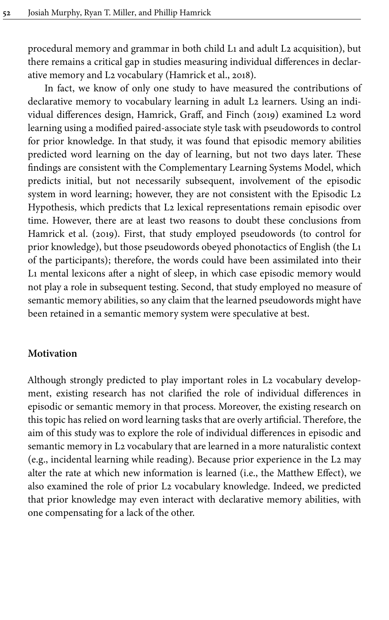procedural memory and grammar in both child L1 and adult L2 acquisition), but there remains a critical gap in studies measuring individual differences in declarative memory and L2 vocabulary [\(Hamrick et](#page-17-0) al., 2018).

In fact, we know of only one study to have measured the contributions of declarative memory to vocabulary learning in adult L2 learners. Using an individual differences design, [Hamrick, Graff, and Finch \(2019\)](#page-17-12) examined L2 word learning using a modified paired-associate style task with pseudowords to control for prior knowledge. In that study, it was found that episodic memory abilities predicted word learning on the day of learning, but not two days later. These findings are consistent with the Complementary Learning Systems Model, which predicts initial, but not necessarily subsequent, involvement of the episodic system in word learning; however, they are not consistent with the Episodic L2 Hypothesis, which predicts that L2 lexical representations remain episodic over time. However, there are at least two reasons to doubt these conclusions from [Hamrick et](#page-17-12) al. (2019). First, that study employed pseudowords (to control for prior knowledge), but those pseudowords obeyed phonotactics of English (the L1 of the participants); therefore, the words could have been assimilated into their L1 mental lexicons after a night of sleep, in which case episodic memory would not play a role in subsequent testing. Second, that study employed no measure of semantic memory abilities, so any claim that the learned pseudowords might have been retained in a semantic memory system were speculative at best.

## **Motivation**

Although strongly predicted to play important roles in L2 vocabulary development, existing research has not clarified the role of individual differences in episodic or semantic memory in that process. Moreover, the existing research on this topic has relied on word learning tasks that are overly artificial. Therefore, the aim of this study was to explore the role of individual differences in episodic and semantic memory in L2 vocabulary that are learned in a more naturalistic context (e.g., incidental learning while reading). Because prior experience in the L2 may alter the rate at which new information is learned (i.e., the Matthew Effect), we also examined the role of prior L2 vocabulary knowledge. Indeed, we predicted that prior knowledge may even interact with declarative memory abilities, with one compensating for a lack of the other.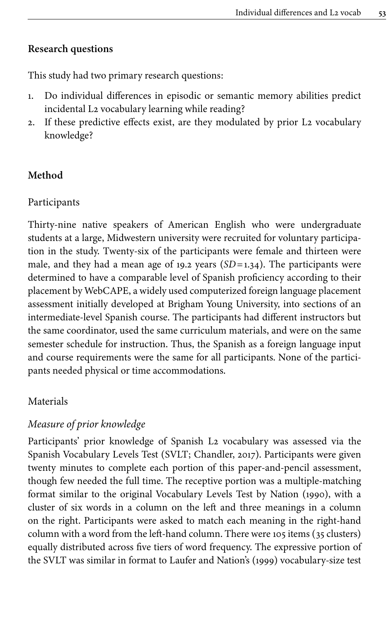## **Research questions**

This study had two primary research questions:

- 1. Do individual differences in episodic or semantic memory abilities predict incidental L2 vocabulary learning while reading?
- 2. If these predictive effects exist, are they modulated by prior L2 vocabulary knowledge?

## **Method**

## Participants

Thirty-nine native speakers of American English who were undergraduate students at a large, Midwestern university were recruited for voluntary participation in the study. Twenty-six of the participants were female and thirteen were male, and they had a mean age of 19.2 years (*SD*=1.34). The participants were determined to have a comparable level of Spanish proficiency according to their placement by WebCAPE, a widely used computerized foreign language placement assessment initially developed at Brigham Young University, into sections of an intermediate-level Spanish course. The participants had different instructors but the same coordinator, used the same curriculum materials, and were on the same semester schedule for instruction. Thus, the Spanish as a foreign language input and course requirements were the same for all participants. None of the participants needed physical or time accommodations.

## Materials

## *Measure of prior knowledge*

Participants' prior knowledge of Spanish L2 vocabulary was assessed via the Spanish Vocabulary Levels Test (SVLT; [Chandler, 2017\)](#page-17-13). Participants were given twenty minutes to complete each portion of this paper-and-pencil assessment, though few needed the full time. The receptive portion was a multiple-matching format similar to the original Vocabulary Levels Test by [Nation \(1990\)](#page-17-14), with a cluster of six words in a column on the left and three meanings in a column on the right. Participants were asked to match each meaning in the right-hand column with a word from the left-hand column. There were 105 items (35 clusters) equally distributed across five tiers of word frequency. The expressive portion of the SVLT was similar in format to [Laufer and Nation's \(1999\)](#page-17-15) vocabulary-size test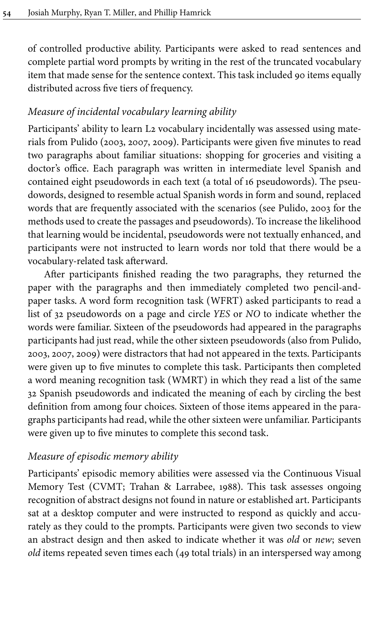of controlled productive ability. Participants were asked to read sentences and complete partial word prompts by writing in the rest of the truncated vocabulary item that made sense for the sentence context. This task included 90 items equally distributed across five tiers of frequency.

## *Measure of incidental vocabulary learning ability*

Participants' ability to learn L2 vocabulary incidentally was assessed using materials from Pulido ([2003,](#page-18-3) [2007,](#page-18-4) [2009\)](#page-18-12). Participants were given five minutes to read two paragraphs about familiar situations: shopping for groceries and visiting a doctor's office. Each paragraph was written in intermediate level Spanish and contained eight pseudowords in each text (a total of 16 pseudowords). The pseudowords, designed to resemble actual Spanish words in form and sound, replaced words that are frequently associated with the scenarios (see [Pulido, 2003](#page-18-3) for the methods used to create the passages and pseudowords). To increase the likelihood that learning would be incidental, pseudowords were not textually enhanced, and participants were not instructed to learn words nor told that there would be a vocabulary-related task afterward.

After participants finished reading the two paragraphs, they returned the paper with the paragraphs and then immediately completed two pencil-andpaper tasks. A word form recognition task (WFRT) asked participants to read a list of 32 pseudowords on a page and circle *YES* or *NO* to indicate whether the words were familiar. Sixteen of the pseudowords had appeared in the paragraphs participants had just read, while the other sixteen pseudowords (also from [Pulido,](#page-18-3) [2003](#page-18-3), [2007](#page-18-4), [2009\)](#page-18-12) were distractors that had not appeared in the texts. Participants were given up to five minutes to complete this task. Participants then completed a word meaning recognition task (WMRT) in which they read a list of the same 32 Spanish pseudowords and indicated the meaning of each by circling the best definition from among four choices. Sixteen of those items appeared in the paragraphs participants had read, while the other sixteen were unfamiliar. Participants were given up to five minutes to complete this second task.

# *Measure of episodic memory ability*

Participants' episodic memory abilities were assessed via the Continuous Visual Memory Test (CVMT; [Trahan & Larrabee, 1988](#page-18-13)). This task assesses ongoing recognition of abstract designs not found in nature or established art. Participants sat at a desktop computer and were instructed to respond as quickly and accurately as they could to the prompts. Participants were given two seconds to view an abstract design and then asked to indicate whether it was *old* or *new*; seven *old* items repeated seven times each (49 total trials) in an interspersed way among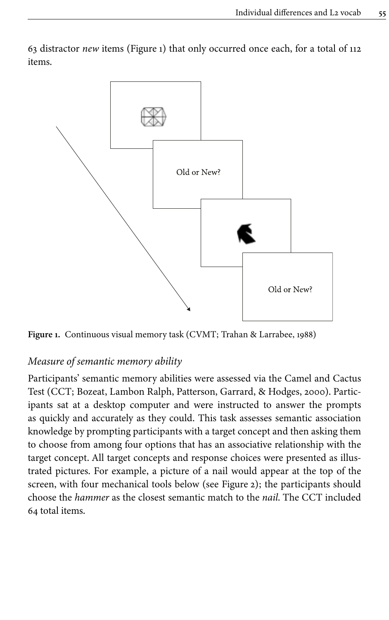

<span id="page-6-0"></span>63 distractor *new* items [\(Figure](#page-6-0) 1) that only occurred once each, for a total of 112 items.

**Figure 1.** Continuous visual memory task (CVMT; [Trahan & Larrabee, 1988](#page-18-13))

## *Measure of semantic memory ability*

Participants' semantic memory abilities were assessed via the Camel and Cactus Test (CCT; [Bozeat, Lambon Ralph, Patterson, Garrard, & Hodges, 2000\)](#page-16-1). Participants sat at a desktop computer and were instructed to answer the prompts as quickly and accurately as they could. This task assesses semantic association knowledge by prompting participants with a target concept and then asking them to choose from among four options that has an associative relationship with the target concept. All target concepts and response choices were presented as illustrated pictures. For example, a picture of a nail would appear at the top of the screen, with four mechanical tools below (see [Figure](#page-7-0) 2); the participants should choose the *hammer* as the closest semantic match to the *nail*. The CCT included 64 total items.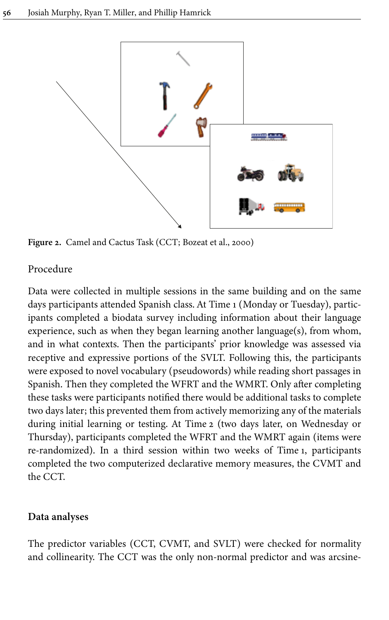<span id="page-7-0"></span>

**Figure 2.** Camel and Cactus Task (CCT; [Bozeat et](#page-16-1) al., 2000)

## Procedure

Data were collected in multiple sessions in the same building and on the same days participants attended Spanish class. At Time 1 (Monday or Tuesday), participants completed a biodata survey including information about their language experience, such as when they began learning another language(s), from whom, and in what contexts. Then the participants' prior knowledge was assessed via receptive and expressive portions of the SVLT. Following this, the participants were exposed to novel vocabulary (pseudowords) while reading short passages in Spanish. Then they completed the WFRT and the WMRT. Only after completing these tasks were participants notified there would be additional tasks to complete two days later; this prevented them from actively memorizing any of the materials during initial learning or testing. At Time 2 (two days later, on Wednesday or Thursday), participants completed the WFRT and the WMRT again (items were re-randomized). In a third session within two weeks of Time 1, participants completed the two computerized declarative memory measures, the CVMT and the CCT.

#### **Data analyses**

The predictor variables (CCT, CVMT, and SVLT) were checked for normality and collinearity. The CCT was the only non-normal predictor and was arcsine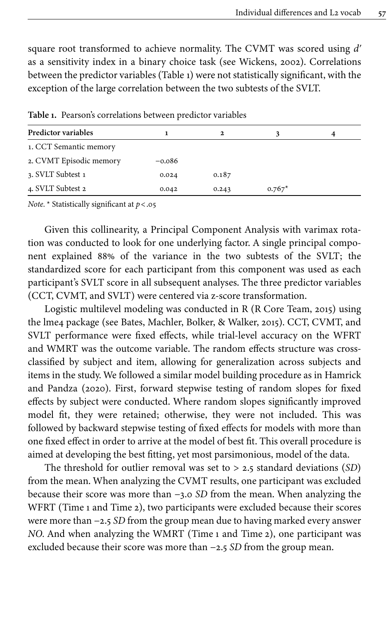square root transformed to achieve normality. The CVMT was scored using *dʹ* as a sensitivity index in a binary choice task (see [Wickens, 2002](#page-19-5)). Correlations between the predictor variables ([Table](#page-8-0) 1) were not statistically significant, with the exception of the large correlation between the two subtests of the SVLT.

| Predictor variables     |          | $\mathbf{2}$ |          | 4 |
|-------------------------|----------|--------------|----------|---|
| 1. CCT Semantic memory  |          |              |          |   |
| 2. CVMT Episodic memory | $-0.086$ |              |          |   |
| 3. SVLT Subtest 1       | 0.024    | 0.187        |          |   |
| 4. SVLT Subtest 2       | 0.042    | 0.243        | $0.767*$ |   |

<span id="page-8-0"></span>**Table 1.** Pearson's correlations between predictor variables

*Note.* \* Statistically significant at *p*<.05

Given this collinearity, a Principal Component Analysis with varimax rotation was conducted to look for one underlying factor. A single principal component explained 88% of the variance in the two subtests of the SVLT; the standardized score for each participant from this component was used as each participant's SVLT score in all subsequent analyses. The three predictor variables (CCT, CVMT, and SVLT) were centered via z-score transformation.

Logistic multilevel modeling was conducted in R ([R Core Team, 2015](#page-18-14)) using the lme4 package (see [Bates, Machler, Bolker, & Walker, 2015\)](#page-16-2). CCT, CVMT, and SVLT performance were fixed effects, while trial-level accuracy on the WFRT and WMRT was the outcome variable. The random effects structure was crossclassified by subject and item, allowing for generalization across subjects and items in the study. We followed a similar model building procedure as in [Hamrick](#page-17-16) [and Pandza \(2020\)](#page-17-16). First, forward stepwise testing of random slopes for fixed effects by subject were conducted. Where random slopes significantly improved model fit, they were retained; otherwise, they were not included. This was followed by backward stepwise testing of fixed effects for models with more than one fixed effect in order to arrive at the model of best fit. This overall procedure is aimed at developing the best fitting, yet most parsimonious, model of the data.

The threshold for outlier removal was set to > 2.5 standard deviations (*SD*) from the mean. When analyzing the CVMT results, one participant was excluded because their score was more than −3.0 *SD* from the mean. When analyzing the WFRT (Time 1 and Time 2), two participants were excluded because their scores were more than −2.5 *SD* from the group mean due to having marked every answer *NO.* And when analyzing the WMRT (Time 1 and Time 2), one participant was excluded because their score was more than −2.5 *SD* from the group mean.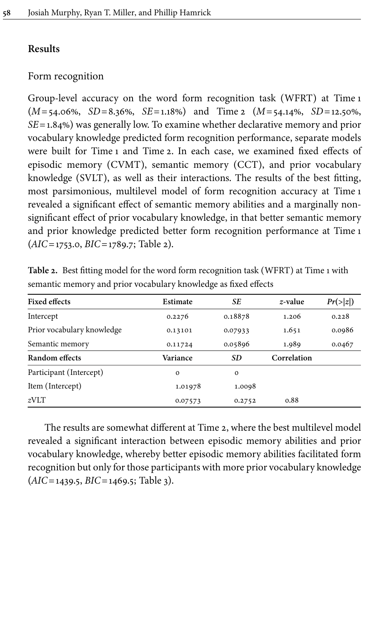## **Results**

## Form recognition

Group-level accuracy on the word form recognition task (WFRT) at Time 1 (*M*=54.06%, *SD*=8.36%, *SE*=1.18%) and Time 2 (*M*=54.14%, *SD*=12.50%, *SE*=1.84%) was generally low. To examine whether declarative memory and prior vocabulary knowledge predicted form recognition performance, separate models were built for Time 1 and Time 2. In each case, we examined fixed effects of episodic memory (CVMT), semantic memory (CCT), and prior vocabulary knowledge (SVLT), as well as their interactions. The results of the best fitting, most parsimonious, multilevel model of form recognition accuracy at Time 1 revealed a significant effect of semantic memory abilities and a marginally nonsignificant effect of prior vocabulary knowledge, in that better semantic memory and prior knowledge predicted better form recognition performance at Time 1 (*AIC*=1753.0, *BIC*=1789.7; [Table](#page-9-0) 2).

| <b>Fixed effects</b>       | Estimate    | SE          | z-value     | Pr(> z ) |  |
|----------------------------|-------------|-------------|-------------|----------|--|
| Intercept                  | 0.2276      | 0.18878     | 1.206       | 0.228    |  |
| Prior vocabulary knowledge | 0.13101     | 0.07933     | 1.651       | 0.0986   |  |
| Semantic memory            | 0.11724     | 0.05896     | 1.989       | 0.0467   |  |
| Random effects             | Variance    | SD          | Correlation |          |  |
| Participant (Intercept)    | $\mathbf 0$ | $\mathbf 0$ |             |          |  |
| Item (Intercept)           | 1.01978     | 1.0098      |             |          |  |
| zVLT                       | 0.07573     | 0.2752      | 0.88        |          |  |

<span id="page-9-0"></span>**Table 2.** Best fitting model for the word form recognition task (WFRT) at Time 1 with semantic memory and prior vocabulary knowledge as fixed effects

The results are somewhat different at Time 2, where the best multilevel model revealed a significant interaction between episodic memory abilities and prior vocabulary knowledge, whereby better episodic memory abilities facilitated form recognition but only for those participants with more prior vocabulary knowledge (*AIC*=1439.5, *BIC*=1469.5; [Table](#page-10-0) 3).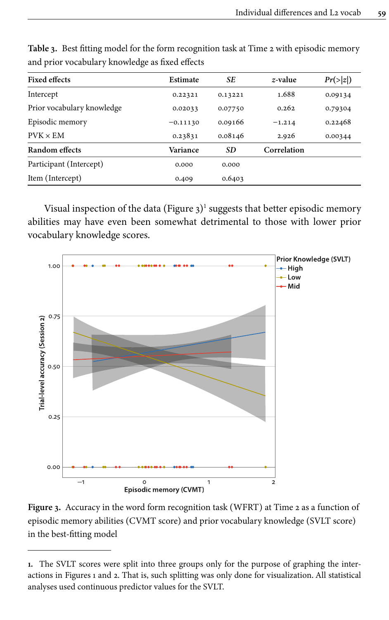| <b>Fixed effects</b>       | Estimate              | SE        | z-value     | Pr(> z ) |
|----------------------------|-----------------------|-----------|-------------|----------|
| Intercept                  | 0.22321               | 0.13221   | 1.688       | 0.09134  |
| Prior vocabulary knowledge | 0.02033               | 0.07750   | 0.262       | 0.79304  |
| Episodic memory            | 0.09166<br>$-0.11130$ |           | $-1.214$    | 0.22468  |
| $PVK \times EM$            | 0.23831               | 0.08146   | 2.926       | 0.00344  |
| Random effects             | Variance              | <b>SD</b> | Correlation |          |
| Participant (Intercept)    | 0.000                 | 0.000     |             |          |
| Item (Intercept)           | 0.409                 | 0.6403    |             |          |

<span id="page-10-0"></span>**Table 3.** Best fitting model for the form recognition task at Time 2 with episodic memory and prior vocabulary knowledge as fixed effects

Visual inspection of the data [\(Figure](#page-10-1) 3) $^{\rm l}$  suggests that better episodic memory abilities may have even been somewhat detrimental to those with lower prior vocabulary knowledge scores.

<span id="page-10-1"></span>

**Figure 3.** Accuracy in the word form recognition task (WFRT) at Time 2 as a function of episodic memory abilities (CVMT score) and prior vocabulary knowledge (SVLT score) in the best-fitting model

**<sup>1.</sup>** The SVLT scores were split into three groups only for the purpose of graphing the interactions in [Figures](#page-6-0) 1 and [2](#page-7-0). That is, such splitting was only done for visualization. All statistical analyses used continuous predictor values for the SVLT.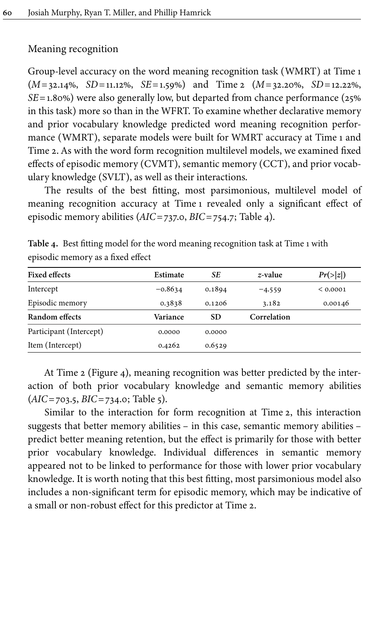### Meaning recognition

Group-level accuracy on the word meaning recognition task (WMRT) at Time 1 (*M*=32.14%, *SD*=11.12%, *SE*=1.59%) and Time 2 (*M*=32.20%, *SD*=12.22%, *SE*=1.80%) were also generally low, but departed from chance performance (25% in this task) more so than in the WFRT. To examine whether declarative memory and prior vocabulary knowledge predicted word meaning recognition performance (WMRT), separate models were built for WMRT accuracy at Time 1 and Time 2. As with the word form recognition multilevel models, we examined fixed effects of episodic memory (CVMT), semantic memory (CCT), and prior vocabulary knowledge (SVLT), as well as their interactions.

The results of the best fitting, most parsimonious, multilevel model of meaning recognition accuracy at Time 1 revealed only a significant effect of episodic memory abilities (*AIC*=737.0, *BIC*=754.7; [Table](#page-11-0) 4).

| <b>Fixed effects</b>    | Estimate  | SE        | z-value     | Pr(> z ) |
|-------------------------|-----------|-----------|-------------|----------|
| Intercept               | $-0.8634$ | 0.1894    | $-4.559$    | < 0.0001 |
| Episodic memory         | 0.3838    | 0.1206    | 3.182       | 0.00146  |
| Random effects          | Variance  | <b>SD</b> | Correlation |          |
| Participant (Intercept) | 0.0000    | 0.0000    |             |          |
| Item (Intercept)        | 0.4262    | 0.6529    |             |          |

<span id="page-11-0"></span>**Table 4.** Best fitting model for the word meaning recognition task at Time 1 with episodic memory as a fixed effect

At Time 2 [\(Figure](#page-12-0) 4), meaning recognition was better predicted by the interaction of both prior vocabulary knowledge and semantic memory abilities (*AIC*=703.5, *BIC*=734.0; [Table](#page-12-1) 5).

Similar to the interaction for form recognition at Time 2, this interaction suggests that better memory abilities – in this case, semantic memory abilities – predict better meaning retention, but the effect is primarily for those with better prior vocabulary knowledge. Individual differences in semantic memory appeared not to be linked to performance for those with lower prior vocabulary knowledge. It is worth noting that this best fitting, most parsimonious model also includes a non-significant term for episodic memory, which may be indicative of a small or non-robust effect for this predictor at Time 2.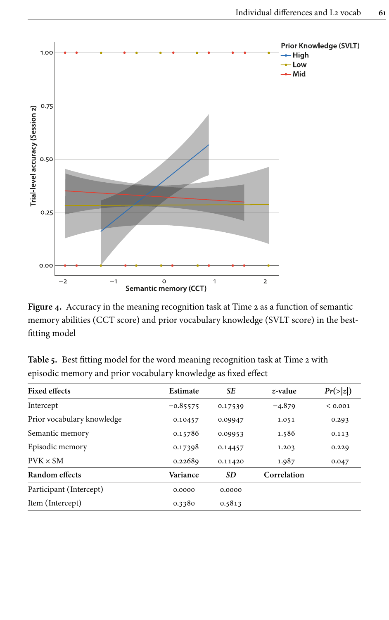<span id="page-12-0"></span>

**Figure 4.** Accuracy in the meaning recognition task at Time 2 as a function of semantic memory abilities (CCT score) and prior vocabulary knowledge (SVLT score) in the bestfitting model

<span id="page-12-1"></span>

|  |  | Table 5. Best fitting model for the word meaning recognition task at Time 2 with |  |  |  |
|--|--|----------------------------------------------------------------------------------|--|--|--|
|  |  | episodic memory and prior vocabulary knowledge as fixed effect                   |  |  |  |

| <b>Fixed effects</b>       | Estimate   | SE        | z-value     | Pr(> z ) |
|----------------------------|------------|-----------|-------------|----------|
| Intercept                  | $-0.85575$ | 0.17539   | $-4.879$    | < 0.001  |
| Prior vocabulary knowledge | 0.10457    | 0.09947   | 1.051       | 0.293    |
| Semantic memory            | 0.15786    | 0.09953   | 1.586       | 0.113    |
| Episodic memory            | 0.17398    | 0.14457   | 1.203       | 0.229    |
| $PVK \times SM$            | 0.22689    | 0.11420   | 1.987       | 0.047    |
| Random effects             | Variance   | <b>SD</b> | Correlation |          |
| Participant (Intercept)    | 0.0000     | 0.0000    |             |          |
| Item (Intercept)           | 0.3380     | 0.5813    |             |          |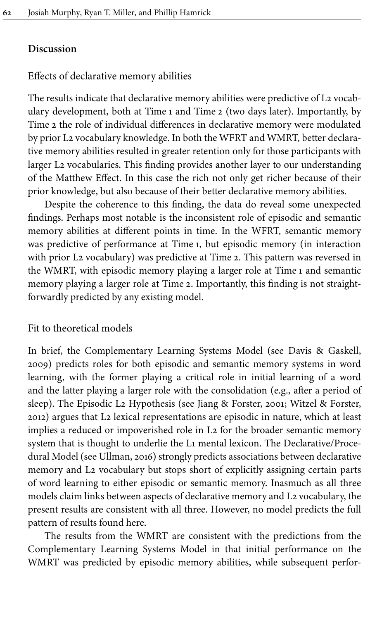#### **Discussion**

#### Effects of declarative memory abilities

The results indicate that declarative memory abilities were predictive of L2 vocabulary development, both at Time 1 and Time 2 (two days later). Importantly, by Time 2 the role of individual differences in declarative memory were modulated by prior L2 vocabulary knowledge. In both the WFRT and WMRT, better declarative memory abilities resulted in greater retention only for those participants with larger L2 vocabularies. This finding provides another layer to our understanding of the Matthew Effect. In this case the rich not only get richer because of their prior knowledge, but also because of their better declarative memory abilities.

Despite the coherence to this finding, the data do reveal some unexpected findings. Perhaps most notable is the inconsistent role of episodic and semantic memory abilities at different points in time. In the WFRT, semantic memory was predictive of performance at Time 1, but episodic memory (in interaction with prior L2 vocabulary) was predictive at Time 2. This pattern was reversed in the WMRT, with episodic memory playing a larger role at Time 1 and semantic memory playing a larger role at Time 2. Importantly, this finding is not straightforwardly predicted by any existing model.

#### Fit to theoretical models

In brief, the Complementary Learning Systems Model (see [Davis & Gaskell,](#page-17-9) [2009](#page-17-9)) predicts roles for both episodic and semantic memory systems in word learning, with the former playing a critical role in initial learning of a word and the latter playing a larger role with the consolidation (e.g., after a period of sleep). The Episodic L2 Hypothesis (see [Jiang & Forster, 2001;](#page-17-10) [Witzel & Forster,](#page-19-4) [2012\)](#page-19-4) argues that L2 lexical representations are episodic in nature, which at least implies a reduced or impoverished role in L2 for the broader semantic memory system that is thought to underlie the L1 mental lexicon. The Declarative/Procedural Model (see [Ullman, 2016\)](#page-18-9) strongly predicts associations between declarative memory and L2 vocabulary but stops short of explicitly assigning certain parts of word learning to either episodic or semantic memory. Inasmuch as all three models claim links between aspects of declarative memory and L2 vocabulary, the present results are consistent with all three. However, no model predicts the full pattern of results found here.

The results from the WMRT are consistent with the predictions from the Complementary Learning Systems Model in that initial performance on the WMRT was predicted by episodic memory abilities, while subsequent perfor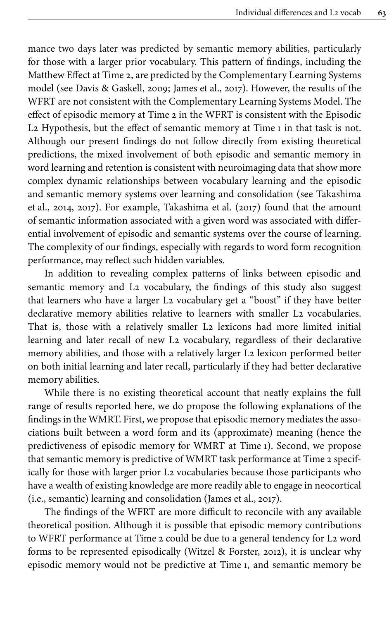mance two days later was predicted by semantic memory abilities, particularly for those with a larger prior vocabulary. This pattern of findings, including the Matthew Effect at Time 2, are predicted by the Complementary Learning Systems model (see [Davis & Gaskell, 2009](#page-17-9); [James et](#page-17-8) al., 2017). However, the results of the WFRT are not consistent with the Complementary Learning Systems Model. The effect of episodic memory at Time 2 in the WFRT is consistent with the Episodic L2 Hypothesis, but the effect of semantic memory at Time 1 in that task is not. Although our present findings do not follow directly from existing theoretical predictions, the mixed involvement of both episodic and semantic memory in word learning and retention is consistent with neuroimaging data that show more complex dynamic relationships between vocabulary learning and the episodic and semantic memory systems over learning and consolidation (see [Takashima](#page-18-15) et [al., 2014](#page-18-15), [2017](#page-18-11)). For example, [Takashima et](#page-18-11) al. (2017) found that the amount of semantic information associated with a given word was associated with differential involvement of episodic and semantic systems over the course of learning. The complexity of our findings, especially with regards to word form recognition performance, may reflect such hidden variables.

In addition to revealing complex patterns of links between episodic and semantic memory and L2 vocabulary, the findings of this study also suggest that learners who have a larger L2 vocabulary get a "boost" if they have better declarative memory abilities relative to learners with smaller L2 vocabularies. That is, those with a relatively smaller L2 lexicons had more limited initial learning and later recall of new L2 vocabulary, regardless of their declarative memory abilities, and those with a relatively larger L2 lexicon performed better on both initial learning and later recall, particularly if they had better declarative memory abilities.

While there is no existing theoretical account that neatly explains the full range of results reported here, we do propose the following explanations of the findings in the WMRT. First, we propose that episodic memory mediates the associations built between a word form and its (approximate) meaning (hence the predictiveness of episodic memory for WMRT at Time 1). Second, we propose that semantic memory is predictive of WMRT task performance at Time 2 specifically for those with larger prior L2 vocabularies because those participants who have a wealth of existing knowledge are more readily able to engage in neocortical (i.e., semantic) learning and consolidation ([James et](#page-17-8) al., 2017).

The findings of the WFRT are more difficult to reconcile with any available theoretical position. Although it is possible that episodic memory contributions to WFRT performance at Time 2 could be due to a general tendency for L2 word forms to be represented episodically ([Witzel & Forster, 2012](#page-19-4)), it is unclear why episodic memory would not be predictive at Time 1, and semantic memory be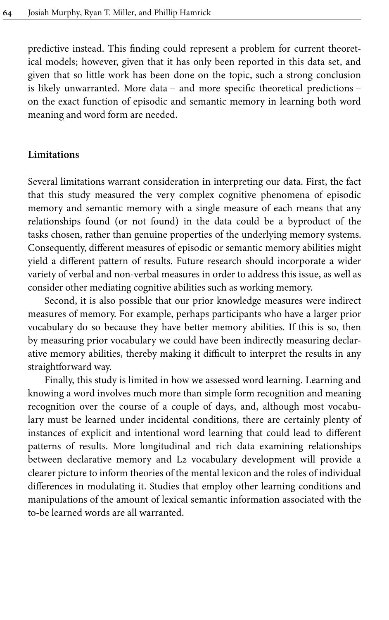predictive instead. This finding could represent a problem for current theoretical models; however, given that it has only been reported in this data set, and given that so little work has been done on the topic, such a strong conclusion is likely unwarranted. More data – and more specific theoretical predictions – on the exact function of episodic and semantic memory in learning both word meaning and word form are needed.

## **Limitations**

Several limitations warrant consideration in interpreting our data. First, the fact that this study measured the very complex cognitive phenomena of episodic memory and semantic memory with a single measure of each means that any relationships found (or not found) in the data could be a byproduct of the tasks chosen, rather than genuine properties of the underlying memory systems. Consequently, different measures of episodic or semantic memory abilities might yield a different pattern of results. Future research should incorporate a wider variety of verbal and non-verbal measures in order to address this issue, as well as consider other mediating cognitive abilities such as working memory.

Second, it is also possible that our prior knowledge measures were indirect measures of memory. For example, perhaps participants who have a larger prior vocabulary do so because they have better memory abilities. If this is so, then by measuring prior vocabulary we could have been indirectly measuring declarative memory abilities, thereby making it difficult to interpret the results in any straightforward way.

Finally, this study is limited in how we assessed word learning. Learning and knowing a word involves much more than simple form recognition and meaning recognition over the course of a couple of days, and, although most vocabulary must be learned under incidental conditions, there are certainly plenty of instances of explicit and intentional word learning that could lead to different patterns of results. More longitudinal and rich data examining relationships between declarative memory and L2 vocabulary development will provide a clearer picture to inform theories of the mental lexicon and the roles of individual differences in modulating it. Studies that employ other learning conditions and manipulations of the amount of lexical semantic information associated with the to-be learned words are all warranted.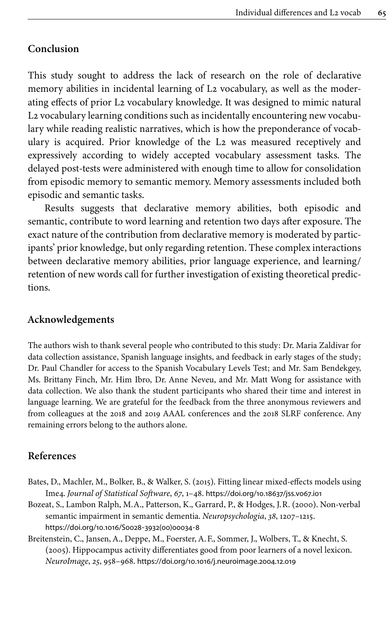## **Conclusion**

This study sought to address the lack of research on the role of declarative memory abilities in incidental learning of L2 vocabulary, as well as the moderating effects of prior L2 vocabulary knowledge. It was designed to mimic natural L2 vocabulary learning conditions such as incidentally encountering new vocabulary while reading realistic narratives, which is how the preponderance of vocabulary is acquired. Prior knowledge of the L2 was measured receptively and expressively according to widely accepted vocabulary assessment tasks. The delayed post-tests were administered with enough time to allow for consolidation from episodic memory to semantic memory. Memory assessments included both episodic and semantic tasks.

Results suggests that declarative memory abilities, both episodic and semantic, contribute to word learning and retention two days after exposure. The exact nature of the contribution from declarative memory is moderated by participants' prior knowledge, but only regarding retention. These complex interactions between declarative memory abilities, prior language experience, and learning/ retention of new words call for further investigation of existing theoretical predictions.

## **Acknowledgements**

The authors wish to thank several people who contributed to this study: Dr. Maria Zaldivar for data collection assistance, Spanish language insights, and feedback in early stages of the study; Dr. Paul Chandler for access to the Spanish Vocabulary Levels Test; and Mr. Sam Bendekgey, Ms. Brittany Finch, Mr. Him Ibro, Dr. Anne Neveu, and Mr. Matt Wong for assistance with data collection. We also thank the student participants who shared their time and interest in language learning. We are grateful for the feedback from the three anonymous reviewers and from colleagues at the 2018 and 2019 AAAL conferences and the 2018 SLRF conference. Any remaining errors belong to the authors alone.

### **References**

- <span id="page-16-2"></span>Bates, D., Machler, M., Bolker, B., & Walker, S. (2015). Fitting linear mixed-effects models using Ime4. *Journal of Statistical Software*, *67*, 1–48. [https://doi.org/10.18637/jss.v067.i01](https://doi.org/10.18637%2Fjss.v067.i01)
- <span id="page-16-1"></span>Bozeat, S., Lambon Ralph, M.A., Patterson, K., Garrard, P., & Hodges, J.R. (2000). Non-verbal semantic impairment in semantic dementia. *Neuropsychologia*, *38*, 1207–1215. [https://doi.org/10.1016/S0028](https://doi.org/10.1016%2FS0028-3932%2800%2900034-8)‑3932(00)00034‑8
- <span id="page-16-0"></span>Breitenstein, C., Jansen, A., Deppe, M., Foerster, A.F., Sommer, J., Wolbers, T., & Knecht, S. (2005). Hippocampus activity differentiates good from poor learners of a novel lexicon. *NeuroImage*, *25*, 958–968. [https://doi.org/10.1016/j.neuroimage.2004.12.019](https://doi.org/10.1016%2Fj.neuroimage.2004.12.019)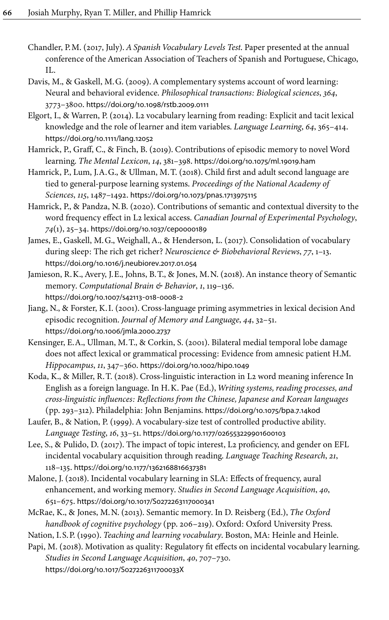- <span id="page-17-13"></span>Chandler, P.M. (2017, July). *A Spanish Vocabulary Levels Test*. Paper presented at the annual conference of the American Association of Teachers of Spanish and Portuguese, Chicago, IL.
- <span id="page-17-9"></span>Davis, M., & Gaskell, M.G. (2009). A complementary systems account of word learning: Neural and behavioral evidence. *Philosophical transactions: Biological sciences*, *364*, 3773–3800. [https://doi.org/10.1098/rstb.2009.0111](https://doi.org/10.1098%2Frstb.2009.0111)
- <span id="page-17-1"></span>Elgort, I., & Warren, P. (2014). L2 vocabulary learning from reading: Explicit and tacit lexical knowledge and the role of learner and item variables. *Language Learning*, *64*, 365–414. [https://doi.org/10.1111/lang.12052](https://doi.org/10.1111%2Flang.12052)
- <span id="page-17-12"></span>Hamrick, P., Graff, C., & Finch, B. (2019). Contributions of episodic memory to novel Word learning. *The Mental Lexicon*, *14*, 381–398. [https://doi.org/10.1075/ml.19019.ham](https://doi.org/10.1075%2Fml.19019.ham)
- <span id="page-17-0"></span>Hamrick, P., Lum, J.A.G., & Ullman, M.T. (2018). Child first and adult second language are tied to general-purpose learning systems. *Proceedings of the National Academy of Sciences*, *115*, 1487–1492. [https://doi.org/10.1073/pnas.1713975115](https://doi.org/10.1073%2Fpnas.1713975115)
- <span id="page-17-16"></span>Hamrick, P., & Pandza, N.B. (2020). Contributions of semantic and contextual diversity to the word frequency effect in L2 lexical access. *Canadian Journal of Experimental Psychology*, *74*(1), 25–34. [https://doi.org/10.1037/cep0000189](https://doi.org/10.1037%2Fcep0000189)
- <span id="page-17-8"></span>James, E., Gaskell, M.G., Weighall, A., & Henderson, L. (2017). Consolidation of vocabulary during sleep: The rich get richer? *Neuroscience & Biobehavioral Reviews*, *77*, 1–13. [https://doi.org/10.1016/j.neubiorev.2017.01.054](https://doi.org/10.1016%2Fj.neubiorev.2017.01.054)
- <span id="page-17-7"></span>Jamieson, R.K., Avery, J.E., Johns, B.T., & Jones, M.N. (2018). An instance theory of Semantic memory. *Computational Brain & Behavior*, *1*, 119–136. [https://doi.org/10.1007/s42113](https://doi.org/10.1007%2Fs42113-018-0008-2)-018-0008-2
- <span id="page-17-10"></span>Jiang, N., & Forster, K.I. (2001). Cross-language priming asymmetries in lexical decision And episodic recognition. *Journal of Memory and Language*, *44*, 32–51. [https://doi.org/10.1006/jmla.2000.2737](https://doi.org/10.1006%2Fjmla.2000.2737)
- <span id="page-17-11"></span>Kensinger, E.A., Ullman, M.T., & Corkin, S. (2001). Bilateral medial temporal lobe damage does not affect lexical or grammatical processing: Evidence from amnesic patient H.M. *Hippocampus*, *11*, 347–360. [https://doi.org/10.1002/hipo.1049](https://doi.org/10.1002%2Fhipo.1049)
- <span id="page-17-2"></span>Koda, K., & Miller, R.T. (2018). Cross-linguistic interaction in L2 word meaning inference In English as a foreign language. In H.K. Pae (Ed.), *Writing systems, reading processes, and cross-linguistic influences: Reflections from the Chinese, Japanese and Korean languages* (pp. 293–312). Philadelphia: John Benjamins. [https://doi.org/10.1075/bpa.7.14kod](https://doi.org/10.1075%2Fbpa.7.14kod)
- <span id="page-17-15"></span>Laufer, B., & Nation, P. (1999). A vocabulary-size test of controlled productive ability. *Language Testing*, *16*, 33–51. [https://doi.org/10.1177/026553229901600103](https://doi.org/10.1177%2F026553229901600103)
- <span id="page-17-3"></span>Lee, S., & Pulido, D. (2017). The impact of topic interest, L2 proficiency, and gender on EFL incidental vocabulary acquisition through reading. *Language Teaching Research*, *21*, 118–135. [https://doi.org/10.1177/1362168816637381](https://doi.org/10.1177%2F1362168816637381)
- <span id="page-17-4"></span>Malone, J. (2018). Incidental vocabulary learning in SLA: Effects of frequency, aural enhancement, and working memory. *Studies in Second Language Acquisition*, *40*, 651–675. [https://doi.org/10.1017/S0272263117000341](https://doi.org/10.1017%2FS0272263117000341)
- <span id="page-17-6"></span>McRae, K., & Jones, M.N. (2013). Semantic memory. In D. Reisberg (Ed.), *The Oxford handbook of cognitive psychology* (pp. 206–219). Oxford: Oxford University Press.
- <span id="page-17-14"></span>Nation, I.S.P. (1990). *Teaching and learning vocabulary*. Boston, MA: Heinle and Heinle.
- <span id="page-17-5"></span>Papi, M. (2018). Motivation as quality: Regulatory fit effects on incidental vocabulary learning. *Studies in Second Language Acquisition*, *40*, 707–730. [https://doi.org/10.1017/S027226311700033X](https://doi.org/10.1017%2FS027226311700033X)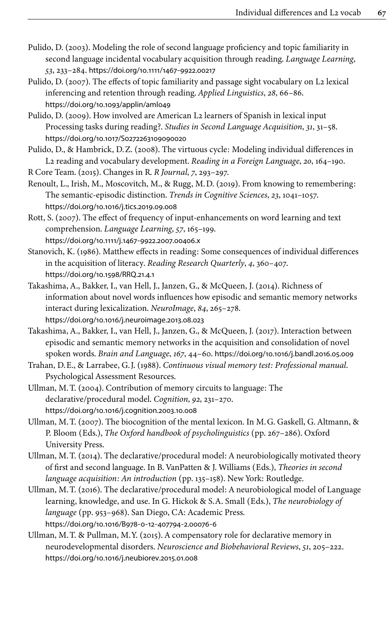- <span id="page-18-3"></span>Pulido, D. (2003). Modeling the role of second language proficiency and topic familiarity in second language incidental vocabulary acquisition through reading. *Language Learning*, *53*, 233–284. [https://doi.org/10.1111/1467](https://doi.org/10.1111%2F1467-9922.00217)‑9922.00217
- <span id="page-18-4"></span>Pulido, D. (2007). The effects of topic familiarity and passage sight vocabulary on L2 lexical inferencing and retention through reading. *Applied Linguistics*, *28*, 66–86. [https://doi.org/10.1093/applin/aml049](https://doi.org/10.1093%2Fapplin%2Faml049)
- <span id="page-18-12"></span>Pulido, D. (2009). How involved are American L2 learners of Spanish in lexical input Processing tasks during reading?. *Studies in Second Language Acquisition*, *31*, 31–58. [https://doi.org/10.1017/S0272263109090020](https://doi.org/10.1017%2FS0272263109090020)

<span id="page-18-5"></span>Pulido, D., & Hambrick, D.Z. (2008). The virtuous cycle: Modeling individual differences in L2 reading and vocabulary development. *Reading in a Foreign Language*, *20*, 164–190.

<span id="page-18-14"></span>R Core Team. (2015). Changes in R. *R Journal*, *7*, 293–297.

- <span id="page-18-6"></span>Renoult, L., Irish, M., Moscovitch, M., & Rugg, M.D. (2019). From knowing to remembering: The semantic-episodic distinction. *Trends in Cognitive Sciences*, *23*, 1041–1057. [https://doi.org/10.1016/j.tics.2019.09.008](https://doi.org/10.1016%2Fj.tics.2019.09.008)
- <span id="page-18-0"></span>Rott, S. (2007). The effect of frequency of input-enhancements on word learning and text comprehension. *Language Learning*, *57*, 165–199. [https://doi.org/10.1111/j.1467](https://doi.org/10.1111%2Fj.1467-9922.2007.00406.x)‑9922.2007.00406.x

<span id="page-18-2"></span>Stanovich, K. (1986). Matthew effects in reading: Some consequences of individual differences in the acquisition of literacy. *Reading Research Quarterly*, *4*, 360–407. [https://doi.org/10.1598/RRQ.21.4.1](https://doi.org/10.1598%2FRRQ.21.4.1)

- <span id="page-18-15"></span>Takashima, A., Bakker, I., van Hell, J., Janzen, G., & McQueen, J. (2014). Richness of information about novel words influences how episodic and semantic memory networks interact during lexicalization. *NeuroImage*, *84*, 265–278. [https://doi.org/10.1016/j.neuroimage.2013.08.023](https://doi.org/10.1016%2Fj.neuroimage.2013.08.023)
- <span id="page-18-11"></span>Takashima, A., Bakker, I., van Hell, J., Janzen, G., & McQueen, J. (2017). Interaction between episodic and semantic memory networks in the acquisition and consolidation of novel spoken words. *Brain and Language*, *167*, 44–60. [https://doi.org/10.1016/j.bandl.2016.05.009](https://doi.org/10.1016%2Fj.bandl.2016.05.009)
- <span id="page-18-13"></span>Trahan, D.E., & Larrabee, G.J. (1988). *Continuous visual memory test: Professional manual*. Psychological Assessment Resources.
- <span id="page-18-7"></span>Ullman, M.T. (2004). Contribution of memory circuits to language: The declarative/procedural model. *Cognition*, *92*, 231–270. [https://doi.org/10.1016/j.cognition.2003.10.008](https://doi.org/10.1016%2Fj.cognition.2003.10.008)
- <span id="page-18-10"></span>Ullman, M.T. (2007). The biocognition of the mental lexicon. In M.G. Gaskell, G. Altmann, & P. Bloom (Eds.), *The Oxford handbook of psycholinguistics* (pp. 267–286). Oxford University Press.
- <span id="page-18-8"></span>Ullman, M.T. (2014). The declarative/procedural model: A neurobiologically motivated theory of first and second language. In B. VanPatten & J. Williams (Eds.), *Theories in second language acquisition: An introduction* (pp. 135–158). New York: Routledge.
- <span id="page-18-9"></span>Ullman, M.T. (2016). The declarative/procedural model: A neurobiological model of Language learning, knowledge, and use. In G. Hickok & S.A. Small (Eds.), *The neurobiology of language* (pp. 953–968). San Diego, CA: Academic Press. [https://doi.org/10.1016/B978](https://doi.org/10.1016%2FB978-0-12-407794-2.00076-6)‑0‑12‑407794‑2.00076‑6
- <span id="page-18-1"></span>Ullman, M.T. & Pullman, M.Y. (2015). A compensatory role for declarative memory in neurodevelopmental disorders. *Neuroscience and Biobehavioral Reviews*, *51*, 205–222. [https://doi.org/10.1016/j.neubiorev.2015.01.008](https://doi.org/10.1016%2Fj.neubiorev.2015.01.008)